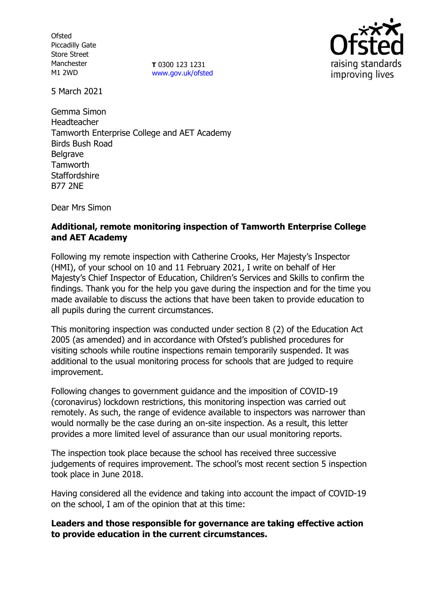**Ofsted** Piccadilly Gate Store Street Manchester M1 2WD

**T** 0300 123 1231 [www.gov.uk/ofsted](http://www.gov.uk/ofsted)



5 March 2021

Gemma Simon Headteacher Tamworth Enterprise College and AET Academy Birds Bush Road **Belgrave Tamworth Staffordshire** B77 2NE

Dear Mrs Simon

## **Additional, remote monitoring inspection of Tamworth Enterprise College and AET Academy**

Following my remote inspection with Catherine Crooks, Her Majesty's Inspector (HMI), of your school on 10 and 11 February 2021, I write on behalf of Her Majesty's Chief Inspector of Education, Children's Services and Skills to confirm the findings. Thank you for the help you gave during the inspection and for the time you made available to discuss the actions that have been taken to provide education to all pupils during the current circumstances.

This monitoring inspection was conducted under section 8 (2) of the Education Act 2005 (as amended) and in accordance with Ofsted's published procedures for visiting schools while routine inspections remain temporarily suspended. It was additional to the usual monitoring process for schools that are judged to require improvement.

Following changes to government guidance and the imposition of COVID-19 (coronavirus) lockdown restrictions, this monitoring inspection was carried out remotely. As such, the range of evidence available to inspectors was narrower than would normally be the case during an on-site inspection. As a result, this letter provides a more limited level of assurance than our usual monitoring reports.

The inspection took place because the school has received three successive judgements of requires improvement. The school's most recent section 5 inspection took place in June 2018.

Having considered all the evidence and taking into account the impact of COVID-19 on the school, I am of the opinion that at this time:

## **Leaders and those responsible for governance are taking effective action to provide education in the current circumstances.**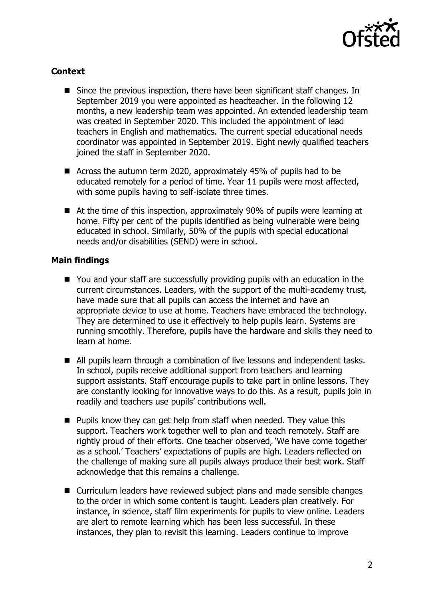

# **Context**

- Since the previous inspection, there have been significant staff changes. In September 2019 you were appointed as headteacher. In the following 12 months, a new leadership team was appointed. An extended leadership team was created in September 2020. This included the appointment of lead teachers in English and mathematics. The current special educational needs coordinator was appointed in September 2019. Eight newly qualified teachers joined the staff in September 2020.
- Across the autumn term 2020, approximately 45% of pupils had to be educated remotely for a period of time. Year 11 pupils were most affected, with some pupils having to self-isolate three times.
- At the time of this inspection, approximately 90% of pupils were learning at home. Fifty per cent of the pupils identified as being vulnerable were being educated in school. Similarly, 50% of the pupils with special educational needs and/or disabilities (SEND) were in school.

## **Main findings**

- You and your staff are successfully providing pupils with an education in the current circumstances. Leaders, with the support of the multi-academy trust, have made sure that all pupils can access the internet and have an appropriate device to use at home. Teachers have embraced the technology. They are determined to use it effectively to help pupils learn. Systems are running smoothly. Therefore, pupils have the hardware and skills they need to learn at home.
- All pupils learn through a combination of live lessons and independent tasks. In school, pupils receive additional support from teachers and learning support assistants. Staff encourage pupils to take part in online lessons. They are constantly looking for innovative ways to do this. As a result, pupils join in readily and teachers use pupils' contributions well.
- $\blacksquare$  Pupils know they can get help from staff when needed. They value this support. Teachers work together well to plan and teach remotely. Staff are rightly proud of their efforts. One teacher observed, 'We have come together as a school.' Teachers' expectations of pupils are high. Leaders reflected on the challenge of making sure all pupils always produce their best work. Staff acknowledge that this remains a challenge.
- Curriculum leaders have reviewed subject plans and made sensible changes to the order in which some content is taught. Leaders plan creatively. For instance, in science, staff film experiments for pupils to view online. Leaders are alert to remote learning which has been less successful. In these instances, they plan to revisit this learning. Leaders continue to improve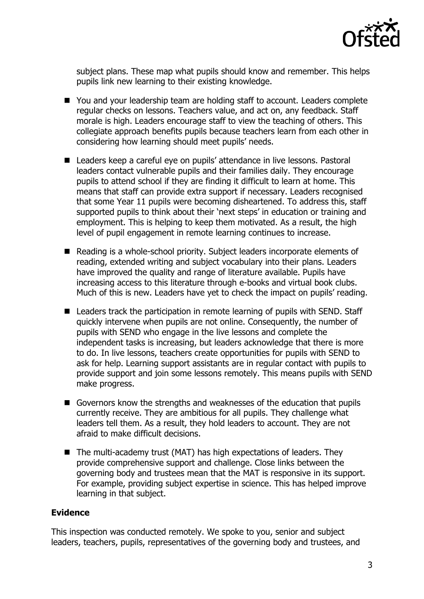

subject plans. These map what pupils should know and remember. This helps pupils link new learning to their existing knowledge.

- You and your leadership team are holding staff to account. Leaders complete regular checks on lessons. Teachers value, and act on, any feedback. Staff morale is high. Leaders encourage staff to view the teaching of others. This collegiate approach benefits pupils because teachers learn from each other in considering how learning should meet pupils' needs.
- Leaders keep a careful eye on pupils' attendance in live lessons. Pastoral leaders contact vulnerable pupils and their families daily. They encourage pupils to attend school if they are finding it difficult to learn at home. This means that staff can provide extra support if necessary. Leaders recognised that some Year 11 pupils were becoming disheartened. To address this, staff supported pupils to think about their 'next steps' in education or training and employment. This is helping to keep them motivated. As a result, the high level of pupil engagement in remote learning continues to increase.
- Reading is a whole-school priority. Subject leaders incorporate elements of reading, extended writing and subject vocabulary into their plans. Leaders have improved the quality and range of literature available. Pupils have increasing access to this literature through e-books and virtual book clubs. Much of this is new. Leaders have yet to check the impact on pupils' reading.
- Leaders track the participation in remote learning of pupils with SEND. Staff quickly intervene when pupils are not online. Consequently, the number of pupils with SEND who engage in the live lessons and complete the independent tasks is increasing, but leaders acknowledge that there is more to do. In live lessons, teachers create opportunities for pupils with SEND to ask for help. Learning support assistants are in regular contact with pupils to provide support and join some lessons remotely. This means pupils with SEND make progress.
- Governors know the strengths and weaknesses of the education that pupils currently receive. They are ambitious for all pupils. They challenge what leaders tell them. As a result, they hold leaders to account. They are not afraid to make difficult decisions.
- $\blacksquare$  The multi-academy trust (MAT) has high expectations of leaders. They provide comprehensive support and challenge. Close links between the governing body and trustees mean that the MAT is responsive in its support. For example, providing subject expertise in science. This has helped improve learning in that subject.

## **Evidence**

This inspection was conducted remotely. We spoke to you, senior and subject leaders, teachers, pupils, representatives of the governing body and trustees, and